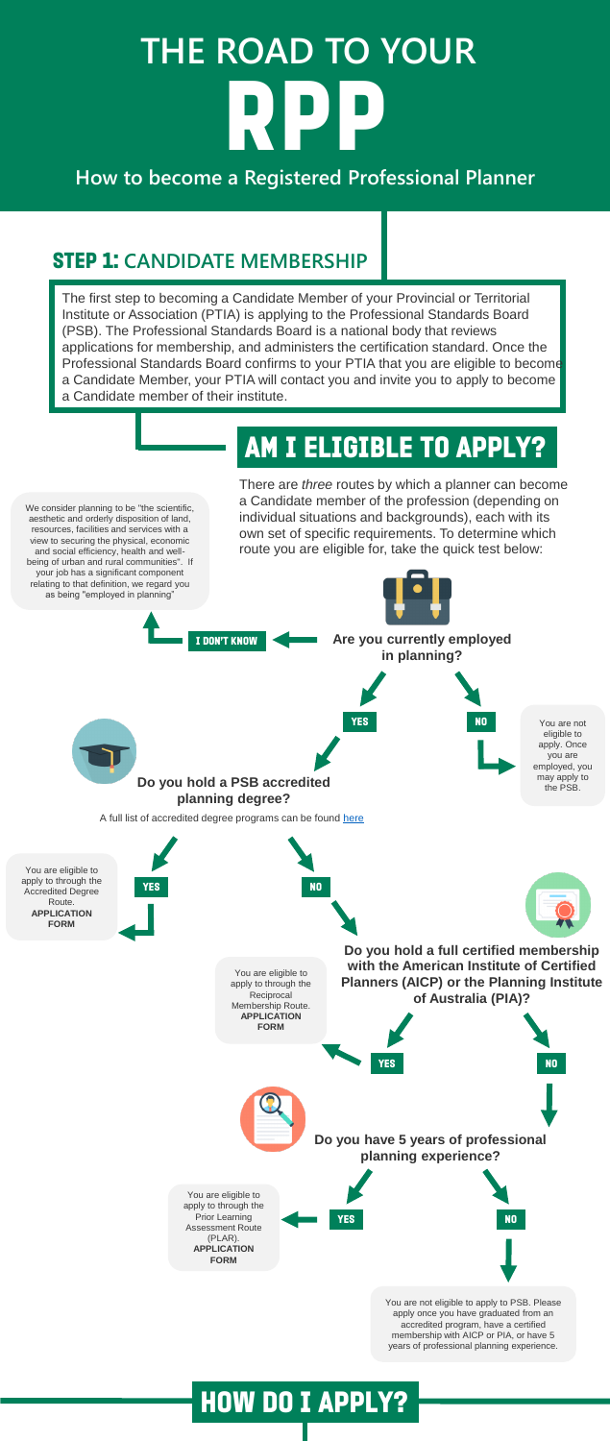# **THE ROAD TO YOUR** RPP

#### **How to become a Registered Professional Planner**

#### STEP 1: **CANDIDATE MEMBERSHIP**

The first step to becoming a Candidate Member of your Provincial or Territorial Institute or Association (PTIA) is applying to the Professional Standards Board (PSB). The Professional Standards Board is a national body that reviews applications for membership, and administers the certification standard. Once the Professional Standards Board confirms to your PTIA that you are eligible to become a Candidate Member, your PTIA will contact you and invite you to apply to become a Candidate member of their institute.

> There are *three* routes by which a planner can become a Candidate member of the profession (depending on individual situations and backgrounds), each with its own set of specific requirements. To determine which route you are eligible for, take the quick test below:

## AM I ELIGIBLE TO APPLY?

We consider planning to be "the scientific,

aesthetic and orderly disposition of land, resources, facilities and services with a view to securing the physical, economic and social efficiency, health and wellbeing of urban and rural communities". If your job has a significant component relating to that definition, we regard you as being "employed in planning"



You are not eligible to apply to PSB. Please apply once you have graduated from an accredited program, have a certified membership with AICP or PIA, or have 5 years of professional planning experience.

#### How do I apply?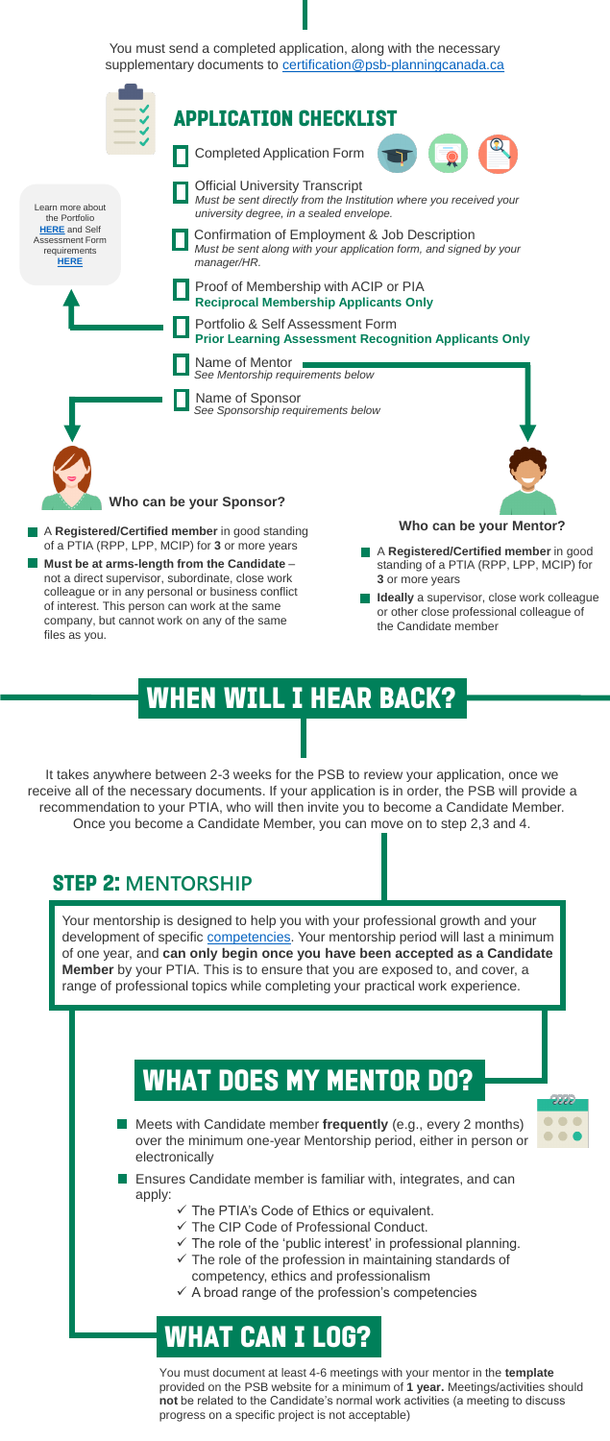**Meets with Candidate member frequently** (e.g., every 2 months) over the minimum one-year Mentorship period, either in person or electronically



- **Ensures Candidate member is familiar with, integrates, and can** apply:
	- $\checkmark$  The PTIA's Code of Ethics or equivalent.
	- $\checkmark$  The CIP Code of Professional Conduct.
	- $\checkmark$  The role of the 'public interest' in professional planning.
	- $\checkmark$  The role of the profession in maintaining standards of competency, ethics and professionalism
	- $\checkmark$  A broad range of the profession's competencies

#### When will I hear back?

It takes anywhere between 2-3 weeks for the PSB to review your application, once we receive all of the necessary documents. If your application is in order, the PSB will provide a recommendation to your PTIA, who will then invite you to become a Candidate Member. Once you become a Candidate Member, you can move on to step 2,3 and 4.

You must send a completed application, along with the necessary supplementary documents to [certification@psb-planningcanada.ca](mailto:certification@psb-planningcanada.ca)



#### STEP 2: **MENTORSHIP**

Your mentorship is designed to help you with your professional growth and your development of specific [competencies](http://www.psb-planningcanada.ca/APPLY/PDF/PLAR_Self_Assessment_Form.pdf). Your mentorship period will last a minimum of one year, and **can only begin once you have been accepted as a Candidate Member** by your PTIA. This is to ensure that you are exposed to, and cover, a range of professional topics while completing your practical work experience.

### WHAT DOES MY MENTOR DO?

# What can I log?

You must document at least 4-6 meetings with your mentor in the **template** provided on the PSB website for a minimum of **1 year.** Meetings/activities should **not** be related to the Candidate's normal work activities (a meeting to discuss progress on a specific project is not acceptable)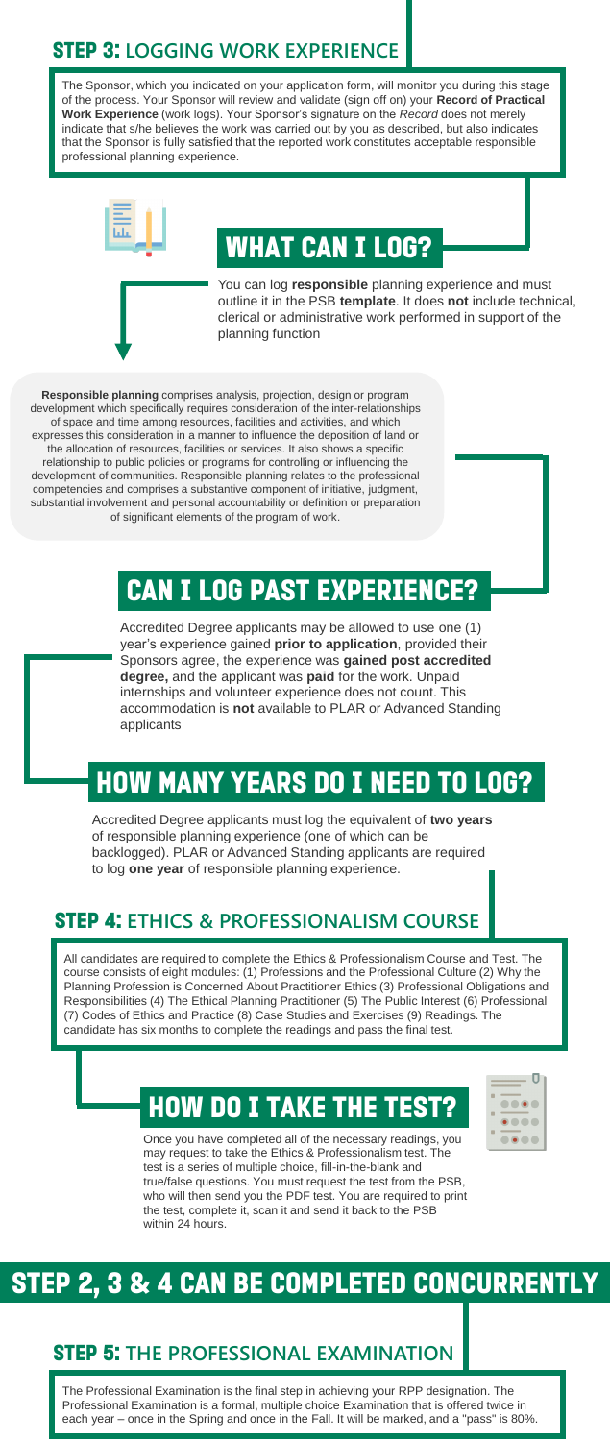#### STEP 3: **LOGGING WORK EXPERIENCE**

The Sponsor, which you indicated on your application form, will monitor you during this stage of the process. Your Sponsor will review and validate (sign off on) your **Record of Practical Work Experience** (work logs). Your Sponsor's signature on the *Record* does not merely indicate that s/he believes the work was carried out by you as described, but also indicates that the Sponsor is fully satisfied that the reported work constitutes acceptable responsible professional planning experience.



## What can I log?

You can log **responsible** planning experience and must outline it in the PSB **template**. It does **not** include technical, clerical or administrative work performed in support of the planning function

**Responsible planning** comprises analysis, projection, design or program development which specifically requires consideration of the inter-relationships of space and time among resources, facilities and activities, and which expresses this consideration in a manner to influence the deposition of land or the allocation of resources, facilities or services. It also shows a specific relationship to public policies or programs for controlling or influencing the development of communities. Responsible planning relates to the professional competencies and comprises a substantive component of initiative, judgment, substantial involvement and personal accountability or definition or preparation of significant elements of the program of work.

## Can I log past experience?

Accredited Degree applicants may be allowed to use one (1) year's experience gained **prior to application**, provided their Sponsors agree, the experience was **gained post accredited degree,** and the applicant was **paid** for the work. Unpaid internships and volunteer experience does not count. This accommodation is **not** available to PLAR or Advanced Standing applicants

#### how many years do I need to log?

Accredited Degree applicants must log the equivalent of **two years**  of responsible planning experience (one of which can be backlogged). PLAR or Advanced Standing applicants are required to log **one year** of responsible planning experience.

#### STEP 4: **ETHICS & PROFESSIONALISM COURSE**

All candidates are required to complete the Ethics & Professionalism Course and Test. The course consists of eight modules: (1) Professions and the Professional Culture (2) Why the Planning Profession is Concerned About Practitioner Ethics (3) Professional Obligations and Responsibilities (4) The Ethical Planning Practitioner (5) The Public Interest (6) Professional (7) Codes of Ethics and Practice (8) Case Studies and Exercises (9) Readings. The candidate has six months to complete the readings and pass the final test.

# how do I take the test?

Once you have completed all of the necessary readings, you may request to take the Ethics & Professionalism test. The test is a series of multiple choice, fill-in-the-blank and true/false questions. You must request the test from the PSB, who will then send you the PDF test. You are required to print the test, complete it, scan it and send it back to the PSB within 24 hours.



#### STEP 2, 3 & 4 CAN BE COMPLETED CONCURRENTLY

#### STEP 5: **THE PROFESSIONAL EXAMINATION**

The Professional Examination is the final step in achieving your RPP designation. The Professional Examination is a formal, multiple choice Examination that is offered twice in each year – once in the Spring and once in the Fall. It will be marked, and a "pass" is 80%.